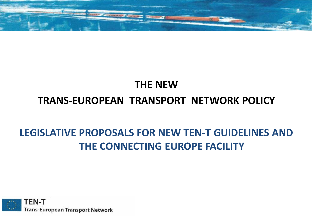

#### **THE NEW TRANS-EUROPEAN TRANSPORT NETWORK POLICY**

#### **LEGISLATIVE PROPOSALS FOR NEW TEN-T GUIDELINES AND THE CONNECTING EUROPE FACILITY**

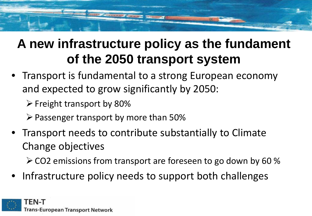#### **A new infrastructure policy as the fundament of the 2050 transport system**

- Transport is fundamental to a strong European economy and expected to grow significantly by 2050:
	- $\triangleright$  Freight transport by 80%
	- $\triangleright$  Passenger transport by more than 50%
- Transport needs to contribute substantially to Climate Change objectives

 $\geq$  CO2 emissions from transport are foreseen to go down by 60 %

• Infrastructure policy needs to support both challenges

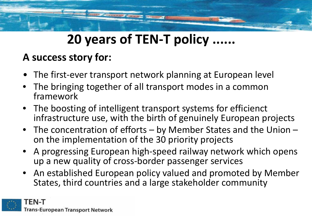# **20 years of TEN-T policy ......**

#### **A success story for:**

- The first-ever transport network planning at European level
- The bringing together of all transport modes in a common framework
- The boosting of intelligent transport systems for efficienct infrastructure use, with the birth of genuinely European projects
- The concentration of efforts by Member States and the Union –<br>on the implementation of the 30 priority projects
- A progressing European high-speed railway network which opens up a new quality of cross-border passenger services
- An established European policy valued and promoted by Member States, third countries and a large stakeholder community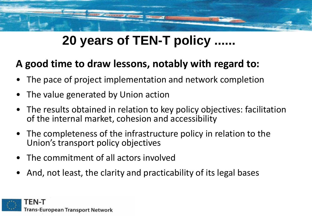### **20 years of TEN-T policy ......**

#### **A good time to draw lessons, notably with regard to:**

- The pace of project implementation and network completion
- The value generated by Union action
- The results obtained in relation to key policy objectives: facilitation of the internal market, cohesion and accessibility
- The completeness of the infrastructure policy in relation to the Union's transport policy objectives
- The commitment of all actors involved
- And, not least, the clarity and practicability of its legal bases

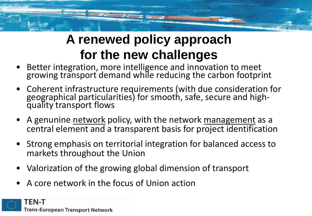### **A renewed policy approach for the new challenges**

- Better integration, more intelligence and innovation to meet growing transport demand while reducing the carbon footprint
- Coherent infrastructure requirements (with due consideration for geographical particularities) for smooth, safe, secure and high- quality transport flows
- A genunine network policy, with the network management as a central element and a transparent basis for project identification
- Strong emphasis on territorial integration for balanced access to markets throughout the Union
- Valorization of the growing global dimension of transport
- A core network in the focus of Union action

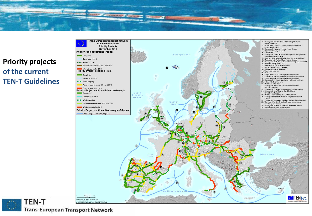





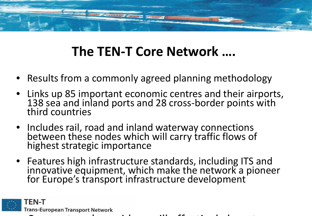### **The TEN-T Core Network ….**

- Results from a commonly agreed planning methodology
- Links up 85 important economic centres and their airports, 138 sea and inland ports and 28 cross-border points with<br>third countries
- Includes rail, road and inland waterway connections between these nodes which will carry traffic flows of highest strategic importance
- Features high infrastructure standards, including ITS and innovative equipment, which make the network a pioneer for Europe's transport infrastructure development

TEN-T **Trans-European Transport Network** 

C t k id ill ff ti l b t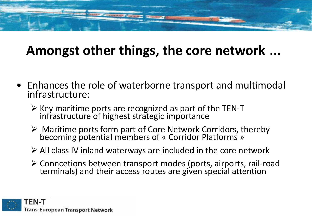### **Amongst other things, the core network** …

- Enhances the role of waterborne transport and multimodal infrastructure:
	- $\triangleright$  Key maritime ports are recognized as part of the TEN-T infrastructure of highest strategic importance
	- $\triangleright$  Maritime ports form part of Core Network Corridors, thereby becoming potential members of « Corridor Platforms »
	- $\triangleright$  All class IV inland waterways are included in the core network
	- Conncetions between transport modes (ports, airports, rail-road terminals) and their access routes are given special attention

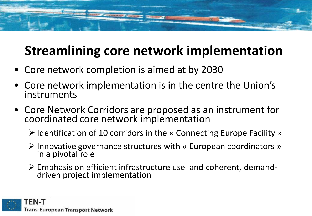## **Streamlining core network implementation**

- Core network completion is aimed at by 2030
- Core network implementation is in the centre the Union's instruments
- Core Network Corridors are proposed as an instrument for coordinated core network implementation
	- $\triangleright$  Identification of 10 corridors in the « Connecting Europe Facility »
	- $\triangleright$  Innovative governance structures with « European coordinators » in a pivotal role
	- $\triangleright$  Emphasis on efficient infrastructure use and coherent, demand-<br>driven project implementation

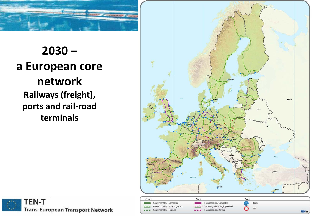

#### **2030 – a European core network Railways (freight), ports and rail-road**

**terminals**





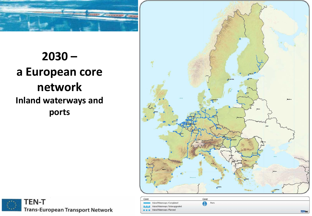

**2030 – a European core network Inland waterways and ports**





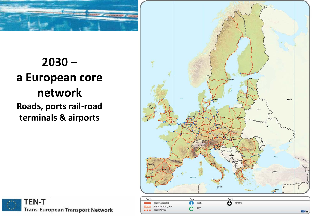

#### **2030 – a European core network Roads, ports rail-road**

**terminals & airports**





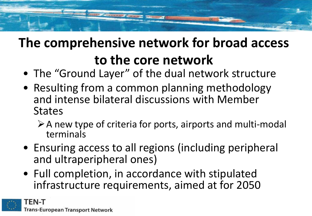## **The comprehensive network for broad access to the core network**

- The "Ground Layer" of the dual network structure
- Resulting from a common planning methodology and intense bilateral discussions with Member **States** 
	- $\triangleright$  A new type of criteria for ports, airports and multi-modal terminals
- Ensuring access to all regions (including peripheral and ultraperipheral ones)
- Full completion, in accordance with stipulated infrastructure requirements, aimed at for 2050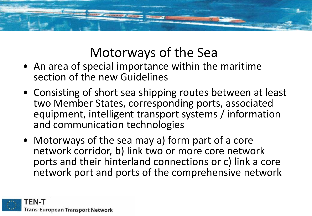

#### Motorways of the Sea

- An area of special importance within the maritime section of the new Guidelines
- Consisting of short sea shipping routes between at least two Member States, corresponding ports, associated equipment, intelligent transport systems / information and communication technologies
- Motorways of the sea may a) form part of a core network corridor, b) link two or more core network ports and their hinterland connections or c) link a core network port and ports of the comprehensive network

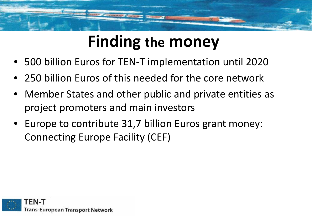# **Finding the money**

- 500 billion Euros for TEN-T implementation until 2020
- 250 billion Euros of this needed for the core network
- Member States and other public and private entities as project promoters and main investors
- Europe to contribute 31,7 billion Euros grant money: Connecting Europe Facility (CEF)

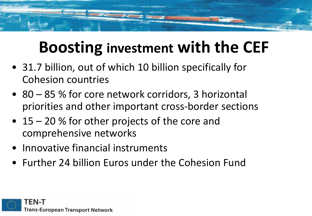# **Boosting investment with the CEF**

- 31.7 billion, out of which 10 billion specifically for Cohesion countries
- 80 85 % for core network corridors, 3 horizontal priorities and other important cross-border sections
- 15 20 % for other projects of the core and comprehensive networks
- Innovative financial instruments
- Further 24 billion Euros under the Cohesion Fund